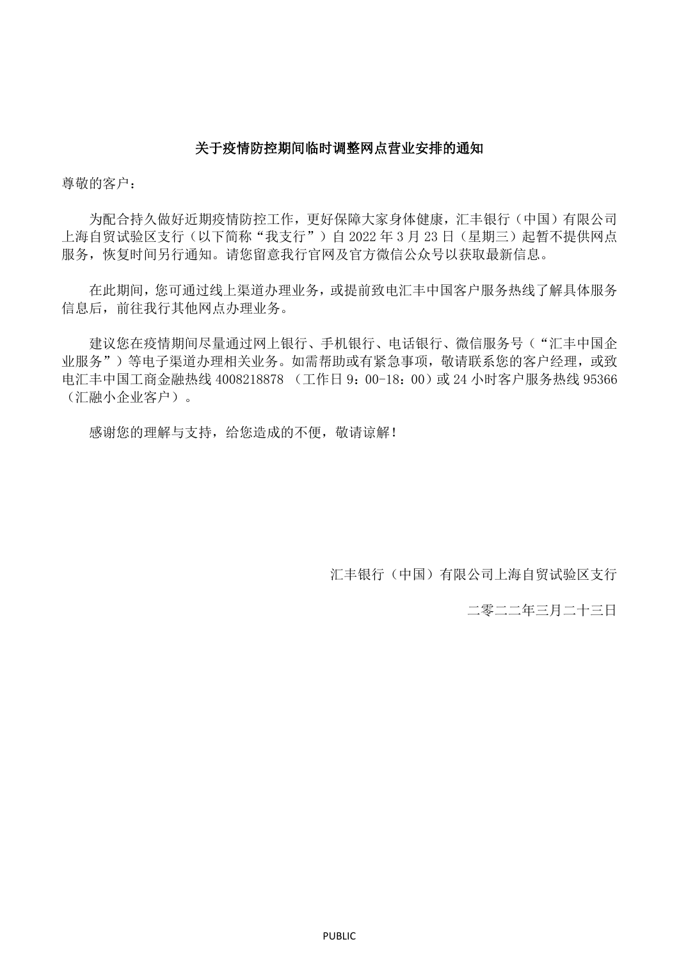## 关于疫情防控期间临时调整网点营业安排的通知

尊敬的客户:

为配合持久做好近期疫情防控工作,更好保障大家身体健康,汇丰银行(中国)有限公司 上海自贸试验区支行(以下简称"我支行")自 2022 年 3 月 23 日 (星期三)起暂不提供网点 服务,恢复时间另行通知。请您留意我行官网及官方微信公众号以获取最新信息。

在此期间,您可通过线上渠道办理业务,或提前致电汇丰中国客户服务热线了解具体服务 信息后,前往我行其他网点办理业务。

建议您在疫情期间尽量通过网上银行、手机银行、电话银行、微信服务号("汇丰中国企 业服务")等电子渠道办理相关业务。如需帮助或有紧急事项,敬请联系您的客户经理,或致 电汇丰中国工商金融热线 4008218878 (工作日 9:00-18:00)或 24 小时客户服务热线 95366 (汇融小企业客户)。

感谢您的理解与支持,给您造成的不便,敬请谅解!

汇丰银行(中国)有限公司上海自贸试验区支行

二零二二年三月二十三日